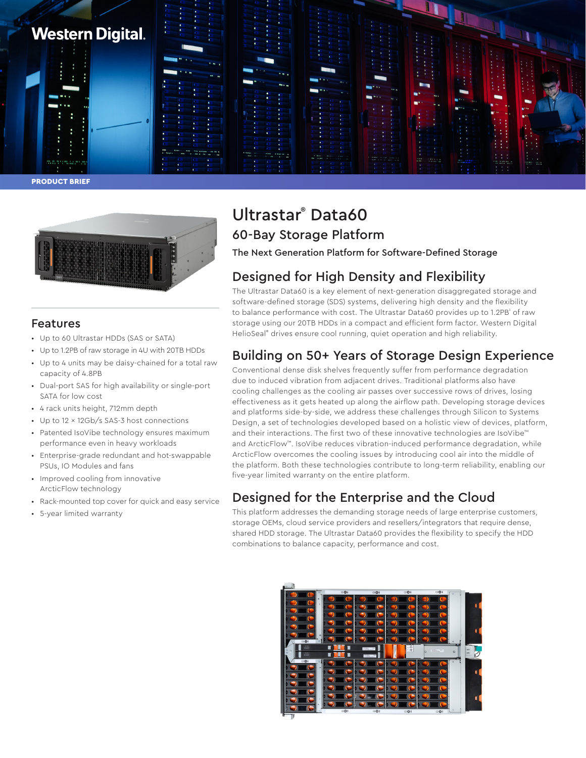





## Features

- Up to 60 Ultrastar HDDs (SAS or SATA)
- Up to 1.2PB of raw storage in 4U with 20TB HDDs
- Up to 4 units may be daisy-chained for a total raw capacity of 4.8PB
- Dual-port SAS for high availability or single-port SATA for low cost
- 4 rack units height, 712mm depth
- Up to 12 x 12Gb/s SAS-3 host connections
- Patented IsoVibe technology ensures maximum performance even in heavy workloads
- Enterprise-grade redundant and hot-swappable PSUs, IO Modules and fans
- Improved cooling from innovative ArcticFlow technology
- Rack-mounted top cover for quick and easy service
- 5-year limited warranty

# Ultrastar® Data60 60-Bay Storage Platform

The Next Generation Platform for Software-Defined Storage

# Designed for High Density and Flexibility

The Ultrastar Data60 is a key element of next-generation disaggregated storage and software-defined storage (SDS) systems, delivering high density and the flexibility to balance performance with cost. The Ultrastar Data60 provides up to 1.2PB $^{\circ}$  of raw storage using our 20TB HDDs in a compact and efficient form factor. Western Digital HelioSeal<sup>®</sup> drives ensure cool running, quiet operation and high reliability.

## Building on 50+ Years of Storage Design Experience

Conventional dense disk shelves frequently suffer from performance degradation due to induced vibration from adjacent drives. Traditional platforms also have cooling challenges as the cooling air passes over successive rows of drives, losing effectiveness as it gets heated up along the airflow path. Developing storage devices and platforms side-by-side, we address these challenges through Silicon to Systems Design, a set of technologies developed based on a holistic view of devices, platform, and their interactions. The first two of these innovative technologies are IsoVibe™ and ArcticFlow™. IsoVibe reduces vibration-induced performance degradation, while ArcticFlow overcomes the cooling issues by introducing cool air into the middle of the platform. Both these technologies contribute to long-term reliability, enabling our five-year limited warranty on the entire platform.

## Designed for the Enterprise and the Cloud

This platform addresses the demanding storage needs of large enterprise customers, storage OEMs, cloud service providers and resellers/integrators that require dense, shared HDD storage. The Ultrastar Data60 provides the flexibility to specify the HDD combinations to balance capacity, performance and cost.